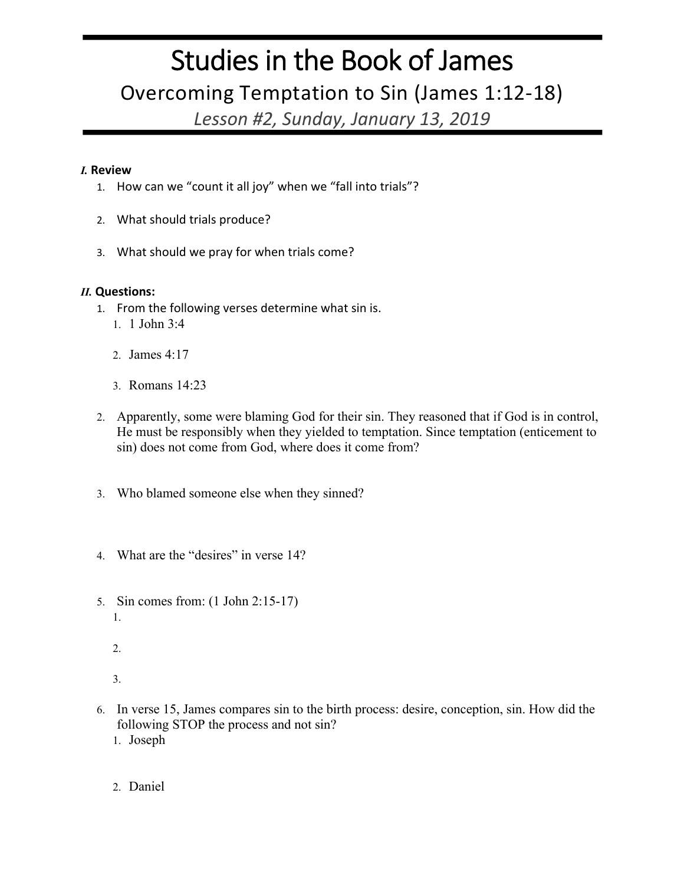## Studies in the Book of James

Overcoming Temptation to Sin (James 1:12-18)

*Lesson #2, Sunday, January 13, 2019*

## *I.* **Review**

- 1. How can we "count it all joy" when we "fall into trials"?
- 2. What should trials produce?
- 3. What should we pray for when trials come?

## *II.* **Questions:**

- 1. From the following verses determine what sin is. 1. 1 John 3:4
	- 2. James 4:17
	- 3. Romans 14:23
- 2. Apparently, some were blaming God for their sin. They reasoned that if God is in control, He must be responsibly when they yielded to temptation. Since temptation (enticement to sin) does not come from God, where does it come from?
- 3. Who blamed someone else when they sinned?
- 4. What are the "desires" in verse 14?
- 5. Sin comes from: (1 John 2:15-17) 1.
	- 2.
	- 3.
- 6. In verse 15, James compares sin to the birth process: desire, conception, sin. How did the following STOP the process and not sin?
	- 1. Joseph
	- 2. Daniel